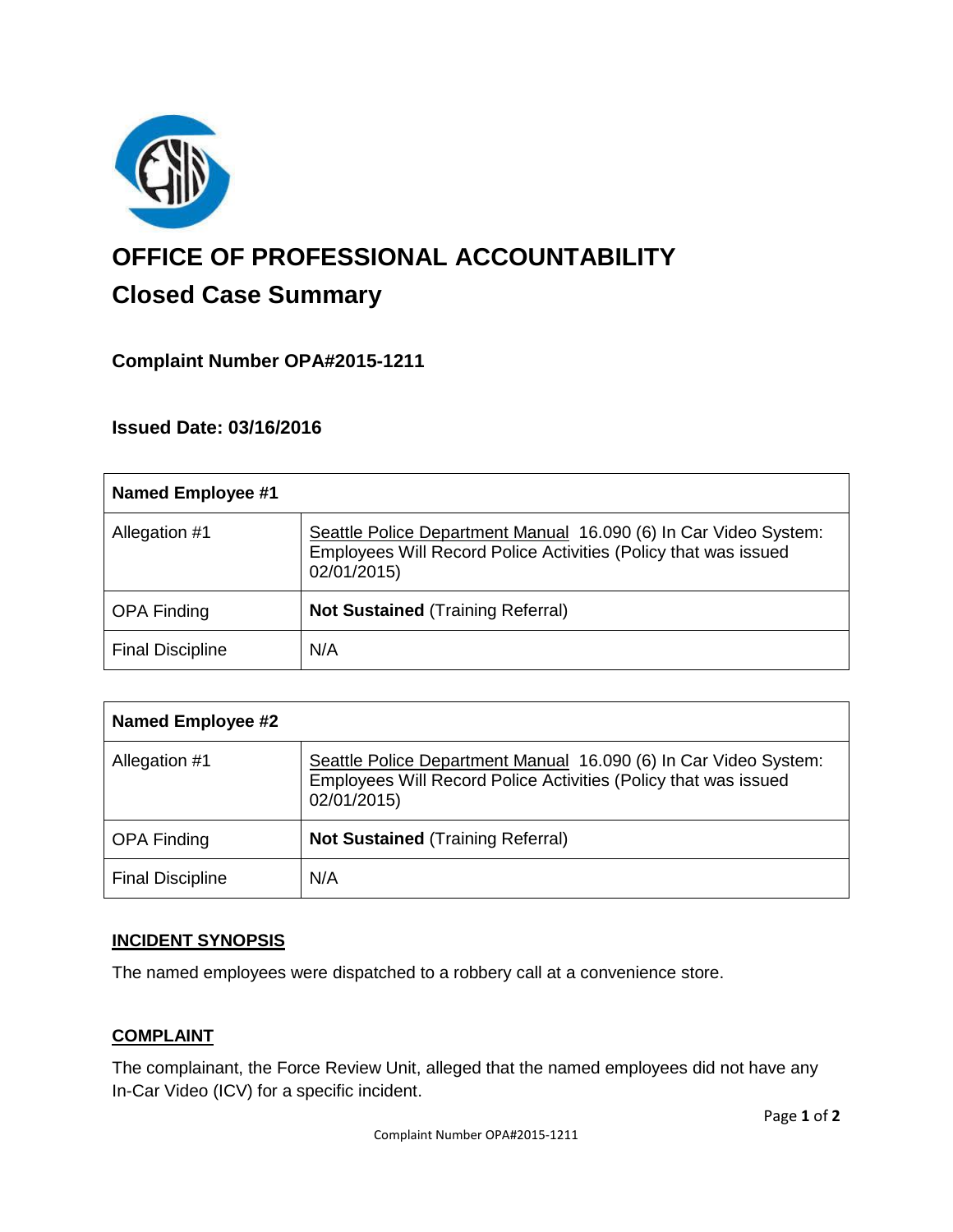

# **OFFICE OF PROFESSIONAL ACCOUNTABILITY Closed Case Summary**

## **Complaint Number OPA#2015-1211**

**Issued Date: 03/16/2016**

| <b>Named Employee #1</b> |                                                                                                                                                    |
|--------------------------|----------------------------------------------------------------------------------------------------------------------------------------------------|
| Allegation #1            | Seattle Police Department Manual 16.090 (6) In Car Video System:<br>Employees Will Record Police Activities (Policy that was issued<br>02/01/2015) |
| <b>OPA Finding</b>       | <b>Not Sustained (Training Referral)</b>                                                                                                           |
| <b>Final Discipline</b>  | N/A                                                                                                                                                |

| <b>Named Employee #2</b> |                                                                                                                                                    |
|--------------------------|----------------------------------------------------------------------------------------------------------------------------------------------------|
| Allegation #1            | Seattle Police Department Manual 16.090 (6) In Car Video System:<br>Employees Will Record Police Activities (Policy that was issued<br>02/01/2015) |
| <b>OPA Finding</b>       | <b>Not Sustained (Training Referral)</b>                                                                                                           |
| <b>Final Discipline</b>  | N/A                                                                                                                                                |

### **INCIDENT SYNOPSIS**

The named employees were dispatched to a robbery call at a convenience store.

### **COMPLAINT**

The complainant, the Force Review Unit, alleged that the named employees did not have any In-Car Video (ICV) for a specific incident.